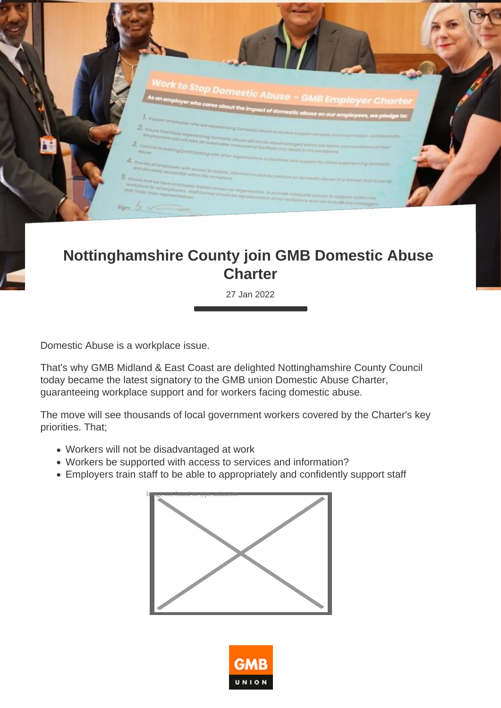

## **Nottinghamshire County join GMB Domestic Abuse Charter**

27 Jan 2022

Domestic Abuse is a workplace issue.

That's why GMB Midland & East Coast are delighted Nottinghamshire County Council today became the latest signatory to the GMB union Domestic Abuse Charter, guaranteeing workplace support and for workers facing domestic abuse.

The move will see thousands of local government workers covered by the Charter's key priorities. That;

- Workers will not be disadvantaged at work
- Workers be supported with access to services and information?
- Employers train staff to be able to appropriately and confidently support staff